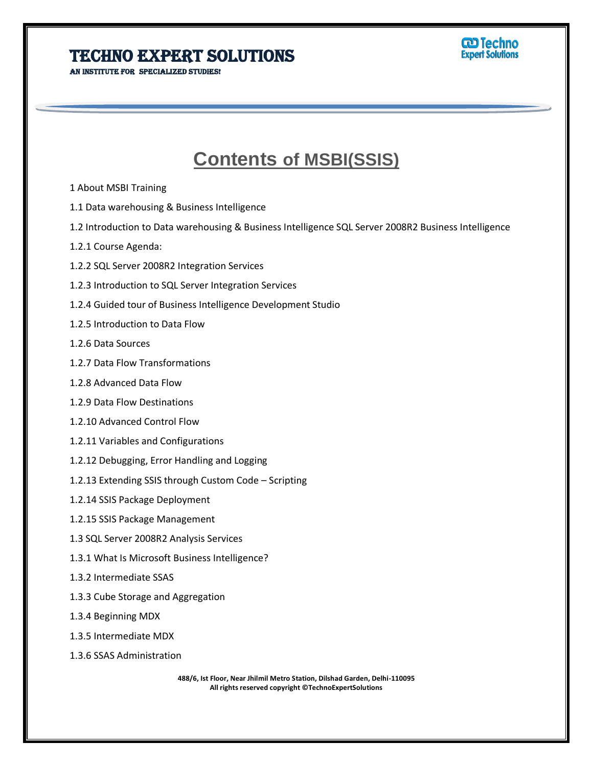## Techno Expert Solutions

AN INSTITUTE FOR SPECIALIZED STUDIES!



## **Contents of MSBI(SSIS)**

İ

- 1 About MSBI Training
- 1.1 Data warehousing & Business Intelligence
- 1.2 Introduction to Data warehousing & Business Intelligence SQL Server 2008R2 Business Intelligence
- 1.2.1 Course Agenda:
- 1.2.2 SQL Server 2008R2 Integration Services
- 1.2.3 Introduction to SQL Server Integration Services
- 1.2.4 Guided tour of Business Intelligence Development Studio
- 1.2.5 Introduction to Data Flow
- 1.2.6 Data Sources
- 1.2.7 Data Flow Transformations
- 1.2.8 Advanced Data Flow
- 1.2.9 Data Flow Destinations
- 1.2.10 Advanced Control Flow
- 1.2.11 Variables and Configurations
- 1.2.12 Debugging, Error Handling and Logging
- 1.2.13 Extending SSIS through Custom Code Scripting
- 1.2.14 SSIS Package Deployment
- 1.2.15 SSIS Package Management
- 1.3 SQL Server 2008R2 Analysis Services
- 1.3.1 What Is Microsoft Business Intelligence?
- 1.3.2 Intermediate SSAS
- 1.3.3 Cube Storage and Aggregation
- 1.3.4 Beginning MDX
- 1.3.5 Intermediate MDX
- 1.3.6 SSAS Administration

**488/6, Ist Floor, Near Jhilmil Metro Station, Dilshad Garden, Delhi-110095 All rights reserved copyright ©TechnoExpertSolutions**